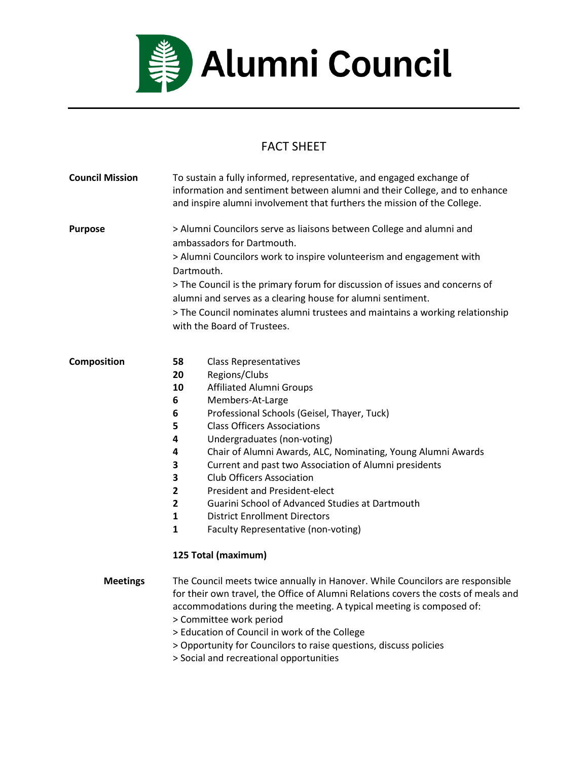

## FACT SHEET

| <b>Council Mission</b> | To sustain a fully informed, representative, and engaged exchange of<br>information and sentiment between alumni and their College, and to enhance<br>and inspire alumni involvement that furthers the mission of the College.                                                                                                                                                                                                                                                                                                                                                                                                                                                                   |
|------------------------|--------------------------------------------------------------------------------------------------------------------------------------------------------------------------------------------------------------------------------------------------------------------------------------------------------------------------------------------------------------------------------------------------------------------------------------------------------------------------------------------------------------------------------------------------------------------------------------------------------------------------------------------------------------------------------------------------|
| <b>Purpose</b>         | > Alumni Councilors serve as liaisons between College and alumni and<br>ambassadors for Dartmouth.<br>> Alumni Councilors work to inspire volunteerism and engagement with<br>Dartmouth.<br>> The Council is the primary forum for discussion of issues and concerns of<br>alumni and serves as a clearing house for alumni sentiment.<br>> The Council nominates alumni trustees and maintains a working relationship<br>with the Board of Trustees.                                                                                                                                                                                                                                            |
| Composition            | 58<br><b>Class Representatives</b><br>20<br>Regions/Clubs<br><b>Affiliated Alumni Groups</b><br>10<br>6<br>Members-At-Large<br>Professional Schools (Geisel, Thayer, Tuck)<br>6<br><b>Class Officers Associations</b><br>5<br>4<br>Undergraduates (non-voting)<br>Chair of Alumni Awards, ALC, Nominating, Young Alumni Awards<br>4<br>3<br>Current and past two Association of Alumni presidents<br>3<br><b>Club Officers Association</b><br><b>President and President-elect</b><br>2<br>$\mathbf{2}$<br>Guarini School of Advanced Studies at Dartmouth<br>$\mathbf{1}$<br><b>District Enrollment Directors</b><br>$\mathbf{1}$<br>Faculty Representative (non-voting)<br>125 Total (maximum) |
| <b>Meetings</b>        | The Council meets twice annually in Hanover. While Councilors are responsible<br>for their own travel, the Office of Alumni Relations covers the costs of meals and<br>accommodations during the meeting. A typical meeting is composed of:<br>> Committee work period<br>> Education of Council in work of the College<br>> Opportunity for Councilors to raise questions, discuss policies<br>> Social and recreational opportunities                                                                                                                                                                                                                                                          |